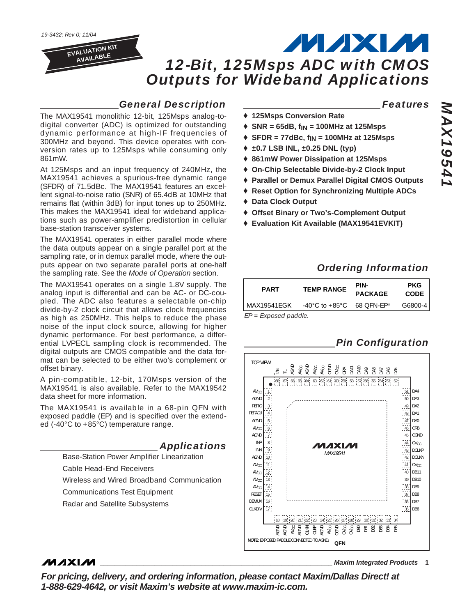*19-3432; Rev 0; 11/04*

**EVALUATION KIT AVAILABLE**

*12-Bit, 125Msps ADC with CMOS Outputs for Wideband Applications*

## *General Description*

The MAX19541 monolithic 12-bit, 125Msps analog-todigital converter (ADC) is optimized for outstanding dynamic performance at high-IF frequencies of 300MHz and beyond. This device operates with conversion rates up to 125Msps while consuming only 861mW.

At 125Msps and an input frequency of 240MHz, the MAX19541 achieves a spurious-free dynamic range (SFDR) of 71.5dBc. The MAX19541 features an excellent signal-to-noise ratio (SNR) of 65.4dB at 10MHz that remains flat (within 3dB) for input tones up to 250MHz. This makes the MAX19541 ideal for wideband applications such as power-amplifier predistortion in cellular base-station transceiver systems.

The MAX19541 operates in either parallel mode where the data outputs appear on a single parallel port at the sampling rate, or in demux parallel mode, where the outputs appear on two separate parallel ports at one-half the sampling rate. See the *Mode of Operation* section.

The MAX19541 operates on a single 1.8V supply. The analog input is differential and can be AC- or DC-coupled. The ADC also features a selectable on-chip divide-by-2 clock circuit that allows clock frequencies as high as 250MHz. This helps to reduce the phase noise of the input clock source, allowing for higher dynamic performance. For best performance, a differential LVPECL sampling clock is recommended. The digital outputs are CMOS compatible and the data format can be selected to be either two's complement or offset binary.

A pin-compatible, 12-bit, 170Msps version of the MAX19541 is also available. Refer to the MAX19542 data sheet for more information.

The MAX19541 is available in a 68-pin QFN with exposed paddle (EP) and is specified over the extended (-40°C to +85°C) temperature range.



Cable Head-End Receivers

**MAXM** 

Wireless and Wired Broadband Communication

Communications Test Equipment

Radar and Satellite Subsystems

## *Features*

MAXM

- ♦ **125Msps Conversion Rate**
- ♦ **SNR = 65dB, fIN = 100MHz at 125Msps**
- ♦ **SFDR = 77dBc, fIN = 100MHz at 125Msps**
- ♦ **±0.7 LSB INL, ±0.25 DNL (typ)**
- ♦ **861mW Power Dissipation at 125Msps**
- ♦ **On-Chip Selectable Divide-by-2 Clock Input**
- ♦ **Parallel or Demux Parallel Digital CMOS Outputs**
- ♦ **Reset Option for Synchronizing Multiple ADCs**
- ♦ **Data Clock Output**
- ♦ **Offset Binary or Two's-Complement Output**
- ♦ **Evaluation Kit Available (MAX19541EVKIT)**

## *Ordering Information*

| <b>PART</b>   | <b>TEMP RANGE</b> | PIN-<br><b>PACKAGE</b> | <b>PKG</b><br><b>CODE</b> |
|---------------|-------------------|------------------------|---------------------------|
| l MAX19541FGK | -40°C to +85°C    | 68 OFN-FP*             | G6800-4                   |

*EP = Exposed paddle.*



**\_\_\_\_\_\_\_\_\_\_\_\_\_\_\_\_\_\_\_\_\_\_\_\_\_\_\_\_\_\_\_\_\_\_\_\_\_\_\_\_\_\_\_\_\_\_\_\_\_\_\_\_\_\_\_\_\_\_\_\_\_\_\_\_** *Maxim Integrated Products* **1**

*For pricing, delivery, and ordering information, please contact Maxim/Dallas Direct! at 1-888-629-4642, or visit Maxim's website at www.maxim-ic.com.*

## *Pin Configuration*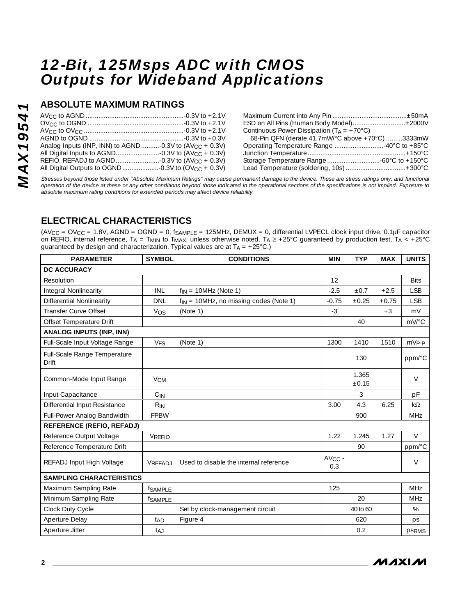## **ABSOLUTE MAXIMUM RATINGS**

|                                                              | Maximum Curren     |
|--------------------------------------------------------------|--------------------|
|                                                              | ESD on All Pins (I |
|                                                              | Continuous Powe    |
|                                                              | 68-Pin QFN (de     |
| Analog Inputs (INP, INN) to AGND -0.3V to $(AV_{CC} + 0.3V)$ | Operating Tempe    |
|                                                              | Junction Tempera   |
|                                                              | Storage Tempera    |
|                                                              | Lead Temperatur    |

| ESD on All Pins (Human Body Model)±2000V              |  |
|-------------------------------------------------------|--|
| Continuous Power Dissipation ( $T_A = +70^{\circ}C$ ) |  |
| 68-Pin QFN (derate 41.7mW/°C above +70°C) 3333mW      |  |
| Operating Temperature Range 40°C to +85°C             |  |
|                                                       |  |
|                                                       |  |
| Lead Temperature (soldering, 10s) +300°C              |  |
|                                                       |  |

*Stresses beyond those listed under "Absolute Maximum Ratings" may cause permanent damage to the device. These are stress ratings only, and functional operation of the device at these or any other conditions beyond those indicated in the operational sections of the specifications is not implied. Exposure to absolute maximum rating conditions for extended periods may affect device reliability.*

## **ELECTRICAL CHARACTERISTICS**

 $(AV_{CC} = OV_{CC} = 1.8V, AGND = OGND = 0, f<sub>SAMPl F</sub> = 125MHz, DEMUX = 0, differential LVPECL clock input drive, 0.1µF capacitor$ on REFIO, internal reference,  $T_A = T_{MIN}$  to  $T_{MAX}$ , unless otherwise noted.  $T_A \geq +25^{\circ}$ C guaranteed by production test,  $T_A < +25^{\circ}$ C guaranteed by design and characterization. Typical values are at  $T_A = +25^{\circ}C$ .)

| <b>PARAMETER</b>                             | <b>SYMBOL</b>         | <b>CONDITIONS</b>                           | <b>MIN</b>         | <b>TYP</b>     | <b>MAX</b> | <b>UNITS</b>          |
|----------------------------------------------|-----------------------|---------------------------------------------|--------------------|----------------|------------|-----------------------|
| <b>DC ACCURACY</b>                           |                       |                                             |                    |                |            |                       |
| Resolution                                   |                       |                                             | 12                 |                |            | <b>Bits</b>           |
| Integral Nonlinearity                        | <b>INL</b>            | $f_{IN}$ = 10MHz (Note 1)                   | $-2.5$             | ±0.7           | $+2.5$     | <b>LSB</b>            |
| <b>Differential Nonlinearity</b>             | <b>DNL</b>            | $f_{IN}$ = 10MHz, no missing codes (Note 1) | $-0.75$            | ±0.25          | $+0.75$    | <b>LSB</b>            |
| <b>Transfer Curve Offset</b>                 | Vos                   | (Note 1)                                    | $-3$               |                | $+3$       | mV                    |
| Offset Temperature Drift                     |                       |                                             |                    | 40             |            | $mV$ <sup>o</sup> $C$ |
| <b>ANALOG INPUTS (INP, INN)</b>              |                       |                                             |                    |                |            |                       |
| Full-Scale Input Voltage Range               | <b>V<sub>FS</sub></b> | (Note 1)                                    | 1300               | 1410           | 1510       | $mVP-P$               |
| Full-Scale Range Temperature<br><b>Drift</b> |                       |                                             |                    | 130            |            | ppm/°C                |
| Common-Mode Input Range                      | <b>V<sub>CM</sub></b> |                                             |                    | 1.365<br>±0.15 |            | $\vee$                |
| Input Capacitance                            | $C_{IN}$              |                                             |                    | 3              |            | pF                    |
| Differential Input Resistance                | $R_{IN}$              |                                             | 3.00               | 4.3            | 6.25       | $k\Omega$             |
| Full-Power Analog Bandwidth                  | <b>FPBW</b>           |                                             |                    | 900            |            | <b>MHz</b>            |
| <b>REFERENCE (REFIO, REFADJ)</b>             |                       |                                             |                    |                |            |                       |
| Reference Output Voltage                     | <b>VREFIO</b>         |                                             | 1.22               | 1.245          | 1.27       | $\vee$                |
| Reference Temperature Drift                  |                       |                                             |                    | 90             |            | ppm/°C                |
| REFADJ Input High Voltage                    | VREFADJ               | Used to disable the internal reference      | $AV_{CC}$ -<br>0.3 |                |            | $\vee$                |
| <b>SAMPLING CHARACTERISTICS</b>              |                       |                                             |                    |                |            |                       |
| Maximum Sampling Rate                        | fSAMPLE               |                                             | 125                |                |            | <b>MHz</b>            |
| Minimum Sampling Rate                        | fsample               |                                             |                    | 20             |            | <b>MHz</b>            |
| Clock Duty Cycle                             |                       | Set by clock-management circuit             |                    | 40 to 60       |            | %                     |
| Aperture Delay                               | t <sub>AD</sub>       | Figure 4                                    |                    | 620            |            | ps                    |
| Aperture Jitter                              | t <sub>AJ</sub>       |                                             |                    | 0.2            |            | <b>PSRMS</b>          |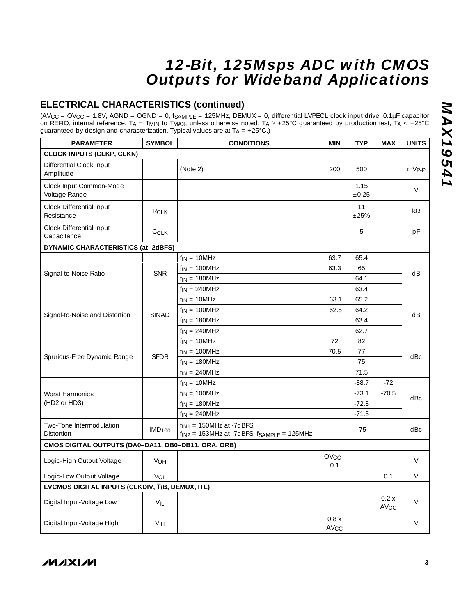## **ELECTRICAL CHARACTERISTICS (continued)**

(AV $_{\rm CC}$  = OV $_{\rm CC}$  = 1.8V, AGND = OGND = 0, f $_{\rm SAMPLE}$  = 125MHz, DEMUX = 0, differential LVPECL clock input drive, 0.1µF capacitor on REFIO, internal reference, T<sub>A</sub> = T<sub>MIN</sub> to T<sub>MAX</sub>, unless otherwise noted. T<sub>A</sub> ≥ +25°C guaranteed by production test, T<sub>A</sub> < +25°C guaranteed by design and characterization. Typical values are at  $T_A = +25^{\circ}$ C.)

| <b>PARAMETER</b>                                    | <b>SYMBOL</b>            | <b>CONDITIONS</b>                                                                    | <b>MIN</b>                     | <b>TYP</b>         | <b>MAX</b>               | <b>UNITS</b> |
|-----------------------------------------------------|--------------------------|--------------------------------------------------------------------------------------|--------------------------------|--------------------|--------------------------|--------------|
| <b>CLOCK INPUTS (CLKP, CLKN)</b>                    |                          |                                                                                      |                                |                    |                          |              |
| Differential Clock Input<br>Amplitude               |                          | (Note 2)                                                                             | 200                            | 500                |                          | $mV_{P-P}$   |
| Clock Input Common-Mode<br>Voltage Range            |                          |                                                                                      |                                | 1.15<br>$\pm 0.25$ |                          | V            |
| Clock Differential Input<br>Resistance              | RCI K                    |                                                                                      |                                | 11<br>±25%         |                          | kΩ           |
| Clock Differential Input<br>Capacitance             | CCLK                     |                                                                                      |                                | 5                  |                          | pF           |
| <b>DYNAMIC CHARACTERISTICS (at -2dBFS)</b>          |                          |                                                                                      |                                |                    |                          |              |
|                                                     |                          | $f_{IN} = 10MHz$                                                                     | 63.7                           | 65.4               |                          |              |
|                                                     | <b>SNR</b>               | $f_{IN} = 100MHz$                                                                    | 63.3                           | 65                 |                          | dB           |
| Signal-to-Noise Ratio                               |                          | $f_{IN} = 180MHz$                                                                    |                                | 64.1               |                          |              |
|                                                     |                          | $f_{IN} = 240MHz$                                                                    |                                | 63.4               |                          |              |
|                                                     |                          | $f_{IN} = 10MHz$                                                                     | 63.1                           | 65.2               |                          |              |
| Signal-to-Noise and Distortion                      | <b>SINAD</b>             | $f_{IN} = 100MHz$                                                                    | 62.5                           | 64.2               |                          | dB           |
|                                                     |                          | $f_{IN} = 180MHz$                                                                    |                                | 63.4               |                          |              |
|                                                     |                          | $f_{IN} = 240MHz$                                                                    |                                | 62.7               |                          |              |
|                                                     |                          | $f_{IN} = 10MHz$                                                                     | 72                             | 82                 |                          |              |
| Spurious-Free Dynamic Range                         | <b>SFDR</b>              | $f_{IN} = 100MHz$                                                                    | 70.5                           | 77                 |                          | dBc          |
|                                                     |                          | $f_{IN} = 180MHz$                                                                    |                                | 75                 |                          |              |
|                                                     |                          | $f_{IN} = 240MHz$                                                                    |                                | 71.5               |                          |              |
|                                                     |                          | $f_{IN} = 10MHz$                                                                     |                                | $-88.7$            | $-72$                    |              |
| <b>Worst Harmonics</b>                              |                          | $f_{IN} = 100MHz$                                                                    |                                | $-73.1$            | $-70.5$                  | dBc          |
| (HD2 or HD3)                                        |                          | $f_{IN} = 180MHz$                                                                    |                                | $-72.8$            |                          |              |
|                                                     |                          | $f_{IN} = 240MHz$                                                                    |                                | $-71.5$            |                          |              |
| Two-Tone Intermodulation<br>Distortion              | <b>IMD<sub>100</sub></b> | $f_{IN1}$ = 150MHz at -7dBFS,<br>$f_{IN2}$ = 153MHz at -7dBFS, $f_{SAMPLE}$ = 125MHz |                                | $-75$              |                          | dBc          |
| CMOS DIGITAL OUTPUTS (DA0-DA11, DB0-DB11, ORA, ORB) |                          |                                                                                      |                                |                    |                          |              |
| Logic-High Output Voltage                           | VOH                      |                                                                                      | $OVCC -$<br>0.1                |                    |                          | $\vee$       |
| Logic-Low Output Voltage                            | V <sub>OL</sub>          |                                                                                      |                                |                    | 0.1                      | $\vee$       |
| LVCMOS DIGITAL INPUTS (CLKDIV, T/B, DEMUX, ITL)     |                          |                                                                                      |                                |                    |                          |              |
| Digital Input-Voltage Low                           | $V_{IL}$                 |                                                                                      |                                |                    | 0.2x<br>AV <sub>CC</sub> | $\vee$       |
| Digital Input-Voltage High                          | V <sub>IH</sub>          |                                                                                      | 0.8x<br><b>AV<sub>CC</sub></b> |                    |                          | $\vee$       |

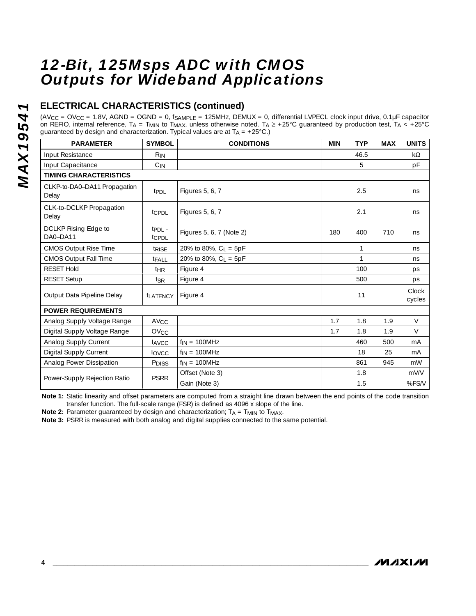## **ELECTRICAL CHARACTERISTICS (continued)**

 $(AV_{CC} = OV_{CC} = 1.8V$ , AGND = OGND = 0, fSAMPLE = 125MHz, DEMUX = 0, differential LVPECL clock input drive, 0.1µF capacitor on REFIO, internal reference,  $T_A = T_{MIN}$  to  $T_{MAX}$ , unless otherwise noted.  $T_A \geq +25^{\circ}$ C guaranteed by production test,  $T_A < +25^{\circ}$ C guaranteed by design and characterization. Typical values are at  $T_A = +25^{\circ}C$ .)

| <b>PARAMETER</b>                      | <b>SYMBOL</b>          | <b>CONDITIONS</b>                | <b>MIN</b> | <b>TYP</b>   | <b>MAX</b> | <b>UNITS</b>    |
|---------------------------------------|------------------------|----------------------------------|------------|--------------|------------|-----------------|
| Input Resistance                      | $R_{IN}$               |                                  |            | 46.5         |            | $k\Omega$       |
| Input Capacitance                     | $C_{IN}$               |                                  |            | 5            |            | рF              |
| <b>TIMING CHARACTERISTICS</b>         |                        |                                  |            |              |            |                 |
| CLKP-to-DA0-DA11 Propagation<br>Delay | t <sub>PDL</sub>       | Figures 5, 6, 7                  |            | 2.5          |            | ns              |
| CLK-to-DCLKP Propagation<br>Delay     | tcppL                  | Figures 5, 6, 7                  |            | 2.1          |            | ns              |
| DCLKP Rising Edge to<br>DA0-DA11      | $tp_{DL}$ -<br>tcppL   | Figures 5, 6, 7 (Note 2)         | 180        | 400          | 710        | ns.             |
| <b>CMOS Output Rise Time</b>          | trise                  | 20% to 80%, $C_1 = 5pF$          |            | $\mathbf{1}$ |            | ns.             |
| <b>CMOS Output Fall Time</b>          | tFALL                  | 20% to 80%, C <sub>L</sub> = 5pF |            | 1            |            | ns              |
| <b>RESET Hold</b>                     | t <sub>HR</sub>        | Figure 4                         |            | 100          |            | ps              |
| RESET Setup                           | tsr                    | Figure 4                         |            | 500          |            | ps              |
| Output Data Pipeline Delay            | <b><i>LATENCY</i></b>  | Figure 4                         |            | 11           |            | Clock<br>cycles |
| <b>POWER REQUIREMENTS</b>             |                        |                                  |            |              |            |                 |
| Analog Supply Voltage Range           | <b>AV<sub>CC</sub></b> |                                  | 1.7        | 1.8          | 1.9        | $\vee$          |
| Digital Supply Voltage Range          | $O$ V $C$ C            |                                  | 1.7        | 1.8          | 1.9        | $\vee$          |
| Analog Supply Current                 | <b>LAVCC</b>           | $f_{IN} = 100MHz$                |            | 460          | 500        | mA              |
| <b>Digital Supply Current</b>         | lovcc                  | $f_{IN} = 100MHz$                |            | 18           | 25         | mA              |
| Analog Power Dissipation              | P <sub>DISS</sub>      | $f_{IN} = 100MHz$                |            | 861          | 945        | mW              |
| Power-Supply Rejection Ratio          | <b>PSRR</b>            | Offset (Note 3)                  |            | 1.8          |            | mV/V            |
|                                       |                        | Gain (Note 3)                    |            | 1.5          |            | %FS/V           |

**Note 1:** Static linearity and offset parameters are computed from a straight line drawn between the end points of the code transition transfer function. The full-scale range (FSR) is defined as 4096 x slope of the line.

**Note 2:** Parameter guaranteed by design and characterization;  $T_A = T_{MIN}$  to  $T_{MAX}$ .

**Note 3:** PSRR is measured with both analog and digital supplies connected to the same potential.

*MAX19541*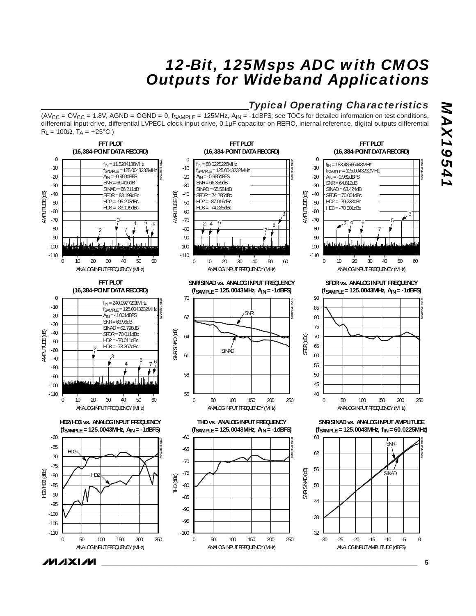## *Typical Operating Characteristics*

 $(AV_{CC} = OV_{CC} = 1.8V$ ,  $AGND = OGND = 0$ ,  $f_{SAMPLE} = 125MHz$ ,  $A_{IN} = -1dBFS$ ; see TOCs for detailed information on test conditions, differential input drive, differential LVPECL clock input drive, 0.1µF capacitor on REFIO, internal reference, digital outputs differential  $R_L = 100Ω$ , T<sub>A</sub> = +25°C.)



*\_\_\_\_\_\_\_\_\_\_\_\_\_\_\_\_\_\_\_\_\_\_\_\_\_\_\_\_\_\_\_\_\_\_\_\_\_\_\_\_\_\_\_\_\_\_\_\_\_\_\_\_\_\_\_\_\_\_\_\_\_\_\_\_\_\_\_\_\_\_\_\_\_\_\_\_\_\_\_\_\_\_\_\_\_\_\_* **5**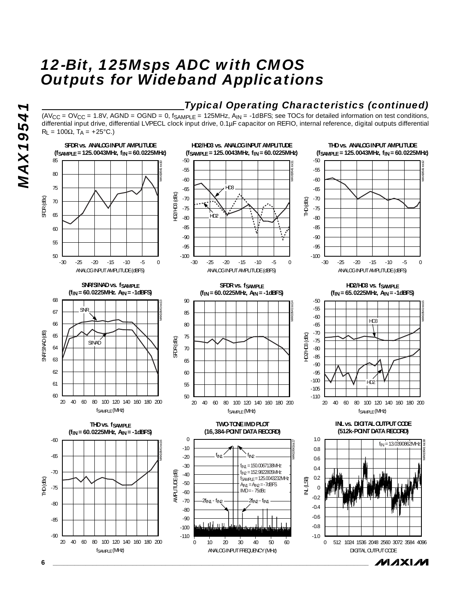## *Typical Operating Characteristics (continued)*

 $(AV_{CC} = OV_{CC} = 1.8V$ , AGND = OGND = 0,  $f_{SAMPLE} = 125MHz$ ,  $A_{IN} = -1dBFS$ ; see TOCs for detailed information on test conditions, differential input drive, differential LVPECL clock input drive, 0.1µF capacitor on REFIO, internal reference, digital outputs differential  $R_L = 100Ω$ , T<sub>A</sub> = +25°C.)



**MAX19541** *MAX19541*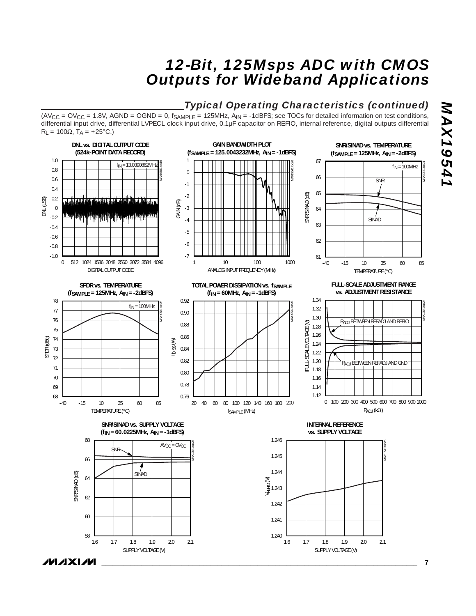## *Typical Operating Characteristics (continued)*

 $(AV_{CC} = OV_{CC} = 1.8V$ ,  $AGND = OGND = 0$ ,  $f_{SAMPLE} = 125MHz$ ,  $A_{IN} = -1dBFS$ ; see TOCs for detailed information on test conditions, differential input drive, differential LVPECL clock input drive, 0.1µF capacitor on REFIO, internal reference, digital outputs differential  $R_L = 100\Omega$ , TA = +25°C.)



**MAXIM** 

*MAX19541*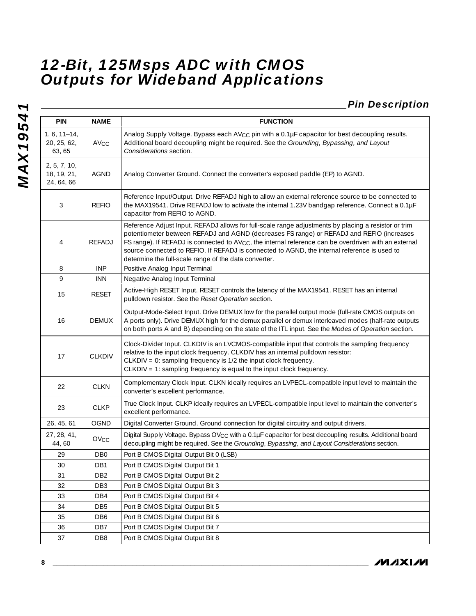*Pin Description*

| <b>PIN</b>                                | NAME             | <b>FUNCTION</b>                                                                                                                                                                                                                                                                                                                                                                                                                                                                 |
|-------------------------------------------|------------------|---------------------------------------------------------------------------------------------------------------------------------------------------------------------------------------------------------------------------------------------------------------------------------------------------------------------------------------------------------------------------------------------------------------------------------------------------------------------------------|
| $1, 6, 11 - 14,$<br>20, 25, 62,<br>63, 65 | AV <sub>CC</sub> | Analog Supply Voltage. Bypass each AV <sub>CC</sub> pin with a 0.1µF capacitor for best decoupling results.<br>Additional board decoupling might be required. See the Grounding, Bypassing, and Layout<br>Considerations section.                                                                                                                                                                                                                                               |
| 2, 5, 7, 10,<br>18, 19, 21,<br>24, 64, 66 | <b>AGND</b>      | Analog Converter Ground. Connect the converter's exposed paddle (EP) to AGND.                                                                                                                                                                                                                                                                                                                                                                                                   |
| 3                                         | <b>REFIO</b>     | Reference Input/Output. Drive REFADJ high to allow an external reference source to be connected to<br>the MAX19541. Drive REFADJ low to activate the internal 1.23V bandgap reference. Connect a 0.1µF<br>capacitor from REFIO to AGND.                                                                                                                                                                                                                                         |
| 4                                         | REFADJ           | Reference Adjust Input. REFADJ allows for full-scale range adjustments by placing a resistor or trim<br>potentiometer between REFADJ and AGND (decreases FS range) or REFADJ and REFIO (increases<br>FS range). If REFADJ is connected to AV <sub>CC</sub> , the internal reference can be overdriven with an external<br>source connected to REFIO. If REFADJ is connected to AGND, the internal reference is used to<br>determine the full-scale range of the data converter. |
| 8                                         | <b>INP</b>       | Positive Analog Input Terminal                                                                                                                                                                                                                                                                                                                                                                                                                                                  |
| 9                                         | <b>INN</b>       | Negative Analog Input Terminal                                                                                                                                                                                                                                                                                                                                                                                                                                                  |
| 15                                        | <b>RESET</b>     | Active-High RESET Input. RESET controls the latency of the MAX19541. RESET has an internal<br>pulldown resistor. See the Reset Operation section.                                                                                                                                                                                                                                                                                                                               |
| 16                                        | <b>DEMUX</b>     | Output-Mode-Select Input. Drive DEMUX low for the parallel output mode (full-rate CMOS outputs on<br>A ports only). Drive DEMUX high for the demux parallel or demux interleaved modes (half-rate outputs<br>on both ports A and B) depending on the state of the ITL input. See the Modes of Operation section.                                                                                                                                                                |
| 17                                        | <b>CLKDIV</b>    | Clock-Divider Input. CLKDIV is an LVCMOS-compatible input that controls the sampling frequency<br>relative to the input clock frequency. CLKDIV has an internal pulldown resistor:<br>$CLKDIV = 0$ : sampling frequency is $1/2$ the input clock frequency.<br>CLKDIV = 1: sampling frequency is equal to the input clock frequency.                                                                                                                                            |
| 22                                        | <b>CLKN</b>      | Complementary Clock Input. CLKN ideally requires an LVPECL-compatible input level to maintain the<br>converter's excellent performance.                                                                                                                                                                                                                                                                                                                                         |
| 23                                        | <b>CLKP</b>      | True Clock Input. CLKP ideally requires an LVPECL-compatible input level to maintain the converter's<br>excellent performance.                                                                                                                                                                                                                                                                                                                                                  |
| 26, 45, 61                                | OGND             | Digital Converter Ground. Ground connection for digital circuitry and output drivers.                                                                                                                                                                                                                                                                                                                                                                                           |
| 27, 28, 41,<br>44,60                      | OV <sub>CC</sub> | Digital Supply Voltage. Bypass OV <sub>CC</sub> with a 0.1µF capacitor for best decoupling results. Additional board<br>decoupling might be required. See the Grounding, Bypassing, and Layout Considerations section.                                                                                                                                                                                                                                                          |
| 29                                        | DB <sub>0</sub>  | Port B CMOS Digital Output Bit 0 (LSB)                                                                                                                                                                                                                                                                                                                                                                                                                                          |
| 30                                        | DB1              | Port B CMOS Digital Output Bit 1                                                                                                                                                                                                                                                                                                                                                                                                                                                |
| 31                                        | DB <sub>2</sub>  | Port B CMOS Digital Output Bit 2                                                                                                                                                                                                                                                                                                                                                                                                                                                |
| 32                                        | DB <sub>3</sub>  | Port B CMOS Digital Output Bit 3                                                                                                                                                                                                                                                                                                                                                                                                                                                |
| 33                                        | DB4              | Port B CMOS Digital Output Bit 4                                                                                                                                                                                                                                                                                                                                                                                                                                                |
| 34                                        | DB <sub>5</sub>  | Port B CMOS Digital Output Bit 5                                                                                                                                                                                                                                                                                                                                                                                                                                                |
| 35                                        | DB <sub>6</sub>  | Port B CMOS Digital Output Bit 6                                                                                                                                                                                                                                                                                                                                                                                                                                                |
| 36                                        | DB7              | Port B CMOS Digital Output Bit 7                                                                                                                                                                                                                                                                                                                                                                                                                                                |
| 37                                        | DB <sub>8</sub>  | Port B CMOS Digital Output Bit 8                                                                                                                                                                                                                                                                                                                                                                                                                                                |

**MAXIM**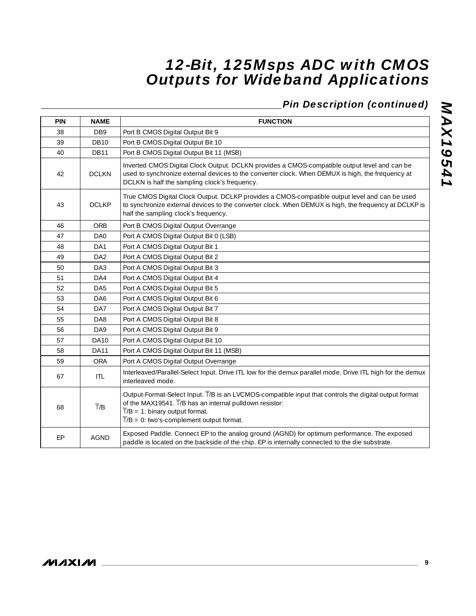## *Pin Description (continued)*

| <b>PIN</b> | <b>NAME</b>      | <b>FUNCTION</b>                                                                                                                                                                                                                                                            |
|------------|------------------|----------------------------------------------------------------------------------------------------------------------------------------------------------------------------------------------------------------------------------------------------------------------------|
| 38         | DB <sub>9</sub>  | Port B CMOS Digital Output Bit 9                                                                                                                                                                                                                                           |
| 39         | <b>DB10</b>      | Port B CMOS Digital Output Bit 10                                                                                                                                                                                                                                          |
| 40         | <b>DB11</b>      | Port B CMOS Digital Output Bit 11 (MSB)                                                                                                                                                                                                                                    |
| 42         | <b>DCLKN</b>     | Inverted CMOS Digital Clock Output. DCLKN provides a CMOS-compatible output level and can be<br>used to synchronize external devices to the converter clock. When DEMUX is high, the frequency at<br>DCLKN is half the sampling clock's frequency.                         |
| 43         | <b>DCLKP</b>     | True CMOS Digital Clock Output. DCLKP provides a CMOS-compatible output level and can be used<br>to synchronize external devices to the converter clock. When DEMUX is high, the frequency at DCLKP is<br>half the sampling clock's frequency.                             |
| 46         | ORB              | Port B CMOS Digital Output Overrange                                                                                                                                                                                                                                       |
| 47         | DA0              | Port A CMOS Digital Output Bit 0 (LSB)                                                                                                                                                                                                                                     |
| 48         | DA1              | Port A CMOS Digital Output Bit 1                                                                                                                                                                                                                                           |
| 49         | DA <sub>2</sub>  | Port A CMOS Digital Output Bit 2                                                                                                                                                                                                                                           |
| 50         | DA <sub>3</sub>  | Port A CMOS Digital Output Bit 3                                                                                                                                                                                                                                           |
| 51         | DA4              | Port A CMOS Digital Output Bit 4                                                                                                                                                                                                                                           |
| 52         | DA <sub>5</sub>  | Port A CMOS Digital Output Bit 5                                                                                                                                                                                                                                           |
| 53         | DA6              | Port A CMOS Digital Output Bit 6                                                                                                                                                                                                                                           |
| 54         | DA7              | Port A CMOS Digital Output Bit 7                                                                                                                                                                                                                                           |
| 55         | DA8              | Port A CMOS Digital Output Bit 8                                                                                                                                                                                                                                           |
| 56         | DA9              | Port A CMOS Digital Output Bit 9                                                                                                                                                                                                                                           |
| 57         | <b>DA10</b>      | Port A CMOS Digital Output Bit 10                                                                                                                                                                                                                                          |
| 58         | <b>DA11</b>      | Port A CMOS Digital Output Bit 11 (MSB)                                                                                                                                                                                                                                    |
| 59         | <b>ORA</b>       | Port A CMOS Digital Output Overrange                                                                                                                                                                                                                                       |
| 67         | <b>ITL</b>       | Interleaved/Parallel-Select Input. Drive ITL low for the demux parallel mode. Drive ITL high for the demux<br>interleaved mode.                                                                                                                                            |
| 68         | $\overline{T}/B$ | Output-Format-Select Input. T/B is an LVCMOS-compatible input that controls the digital output format<br>of the MAX19541. T/B has an internal pulldown resistor:<br>$\overline{T}/B = 1$ : binary output format.<br>$\overline{T}/B = 0$ : two's-complement output format. |
| EP         | <b>AGND</b>      | Exposed Paddle. Connect EP to the analog ground (AGND) for optimum performance. The exposed<br>paddle is located on the backside of the chip. EP is internally connected to the die substrate.                                                                             |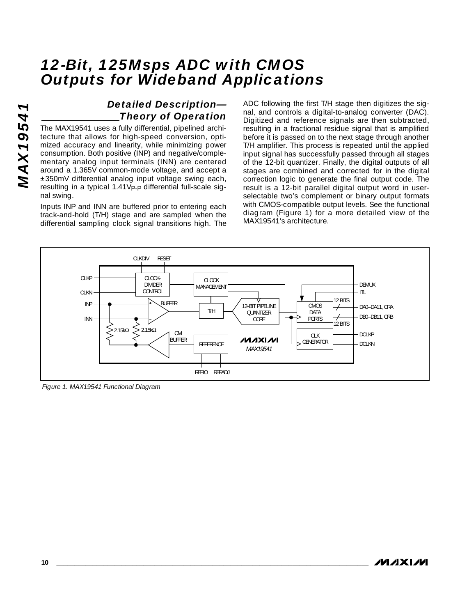## *Detailed Description— Theory of Operation*

The MAX19541 uses a fully differential, pipelined architecture that allows for high-speed conversion, optimized accuracy and linearity, while minimizing power consumption. Both positive (INP) and negative/complementary analog input terminals (INN) are centered around a 1.365V common-mode voltage, and accept a ±350mV differential analog input voltage swing each, resulting in a typical 1.41VP-P differential full-scale signal swing.

Inputs INP and INN are buffered prior to entering each track-and-hold (T/H) stage and are sampled when the differential sampling clock signal transitions high. The ADC following the first T/H stage then digitizes the signal, and controls a digital-to-analog converter (DAC). Digitized and reference signals are then subtracted, resulting in a fractional residue signal that is amplified before it is passed on to the next stage through another T/H amplifier. This process is repeated until the applied input signal has successfully passed through all stages of the 12-bit quantizer. Finally, the digital outputs of all stages are combined and corrected for in the digital correction logic to generate the final output code. The result is a 12-bit parallel digital output word in userselectable two's complement or binary output formats with CMOS-compatible output levels. See the functional diagram (Figure 1) for a more detailed view of the MAX19541's architecture.



*Figure 1. MAX19541 Functional Diagram*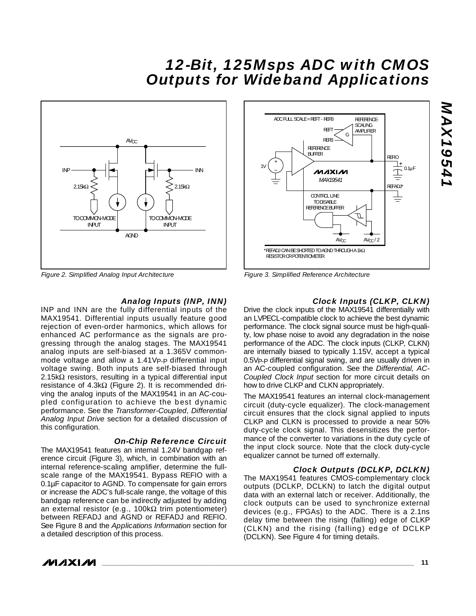

*Figure 2. Simplified Analog Input Architecture*

#### *Analog Inputs (INP, INN)*

INP and INN are the fully differential inputs of the MAX19541. Differential inputs usually feature good rejection of even-order harmonics, which allows for enhanced AC performance as the signals are progressing through the analog stages. The MAX19541 analog inputs are self-biased at a 1.365V commonmode voltage and allow a 1.41Vp-p differential input voltage swing. Both inputs are self-biased through 2.15kΩ resistors, resulting in a typical differential input resistance of 4.3kΩ (Figure 2). It is recommended driving the analog inputs of the MAX19541 in an AC-coupled configuration to achieve the best dynamic performance. See the *Transformer-Coupled, Differential Analog Input Drive* section for a detailed discussion of this configuration.

#### *On-Chip Reference Circuit*

The MAX19541 features an internal 1.24V bandgap reference circuit (Figure 3), which, in combination with an internal reference-scaling amplifier, determine the fullscale range of the MAX19541. Bypass REFIO with a 0.1µF capacitor to AGND. To compensate for gain errors or increase the ADC's full-scale range, the voltage of this bandgap reference can be indirectly adjusted by adding an external resistor (e.g., 100kΩ trim potentiometer) between REFADJ and AGND or REFADJ and REFIO. See Figure 8 and the *Applications Information* section for a detailed description of this process.



*Figure 3. Simplified Reference Architecture*

#### *Clock Inputs (CLKP, CLKN)*

Drive the clock inputs of the MAX19541 differentially with an LVPECL-compatible clock to achieve the best dynamic performance. The clock signal source must be high-quality, low phase noise to avoid any degradation in the noise performance of the ADC. The clock inputs (CLKP, CLKN) are internally biased to typically 1.15V, accept a typical 0.5VP-P differential signal swing, and are usually driven in an AC-coupled configuration. See the *Differential, AC-Coupled Clock Input* section for more circuit details on how to drive CLKP and CLKN appropriately.

The MAX19541 features an internal clock-management circuit (duty-cycle equalizer). The clock-management circuit ensures that the clock signal applied to inputs CLKP and CLKN is processed to provide a near 50% duty-cycle clock signal. This desensitizes the performance of the converter to variations in the duty cycle of the input clock source. Note that the clock duty-cycle equalizer cannot be turned off externally.

#### *Clock Outputs (DCLKP, DCLKN)*

The MAX19541 features CMOS-complementary clock outputs (DCLKP, DCLKN) to latch the digital output data with an external latch or receiver. Additionally, the clock outputs can be used to synchronize external devices (e.g., FPGAs) to the ADC. There is a 2.1ns delay time between the rising (falling) edge of CLKP (CLKN) and the rising (falling) edge of DCLKP (DCLKN). See Figure 4 for timing details.

# *MAX19541* **NAX1954**

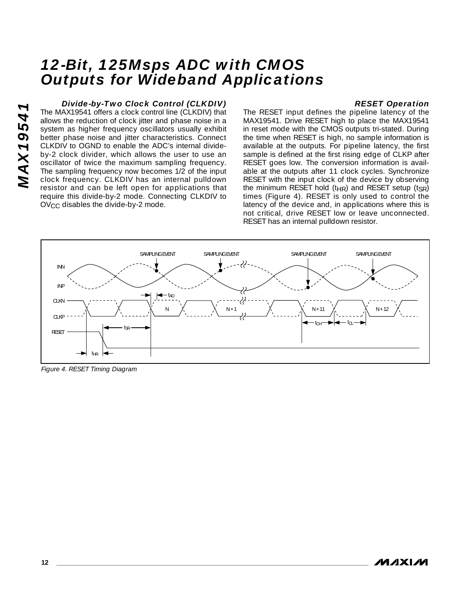### *Divide-by-Two Clock Control (CLKDIV)*

The MAX19541 offers a clock control line (CLKDIV) that allows the reduction of clock jitter and phase noise in a system as higher frequency oscillators usually exhibit better phase noise and jitter characteristics. Connect CLKDIV to OGND to enable the ADC's internal divideby-2 clock divider, which allows the user to use an oscillator of twice the maximum sampling frequency. The sampling frequency now becomes 1/2 of the input clock frequency. CLKDIV has an internal pulldown resistor and can be left open for applications that require this divide-by-2 mode. Connecting CLKDIV to OV<sub>CC</sub> disables the divide-by-2 mode.

#### *RESET Operation*

The RESET input defines the pipeline latency of the MAX19541. Drive RESET high to place the MAX19541 in reset mode with the CMOS outputs tri-stated. During the time when RESET is high, no sample information is available at the outputs. For pipeline latency, the first sample is defined at the first rising edge of CLKP after RESET goes low. The conversion information is available at the outputs after 11 clock cycles. Synchronize RESET with the input clock of the device by observing the minimum RESET hold ( $t_{HR}$ ) and RESET setup ( $t_{SR}$ ) times (Figure 4). RESET is only used to control the latency of the device and, in applications where this is not critical, drive RESET low or leave unconnected. RESET has an internal pulldown resistor.



*Figure 4. RESET Timing Diagram*

*MAX19541*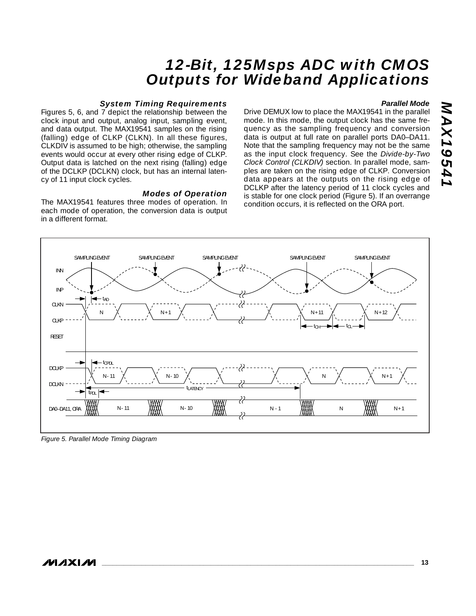#### *System Timing Requirements*

Figures 5, 6, and 7 depict the relationship between the clock input and output, analog input, sampling event, and data output. The MAX19541 samples on the rising (falling) edge of CLKP (CLKN). In all these figures, CLKDIV is assumed to be high; otherwise, the sampling events would occur at every other rising edge of CLKP. Output data is latched on the next rising (falling) edge of the DCLKP (DCLKN) clock, but has an internal latency of 11 input clock cycles.

#### *Modes of Operation*

The MAX19541 features three modes of operation. In each mode of operation, the conversion data is output in a different format.

#### *Parallel Mode*

*MAX19541*

**MAX19541** 

Drive DEMUX low to place the MAX19541 in the parallel mode. In this mode, the output clock has the same frequency as the sampling frequency and conversion data is output at full rate on parallel ports DA0–DA11. Note that the sampling frequency may not be the same as the input clock frequency. See the *Divide-by-Two Clock Control (CLKDIV)* section. In parallel mode, samples are taken on the rising edge of CLKP. Conversion data appears at the outputs on the rising edge of DCLKP after the latency period of 11 clock cycles and is stable for one clock period (Figure 5). If an overrange condition occurs, it is reflected on the ORA port.



*Figure 5. Parallel Mode Timing Diagram*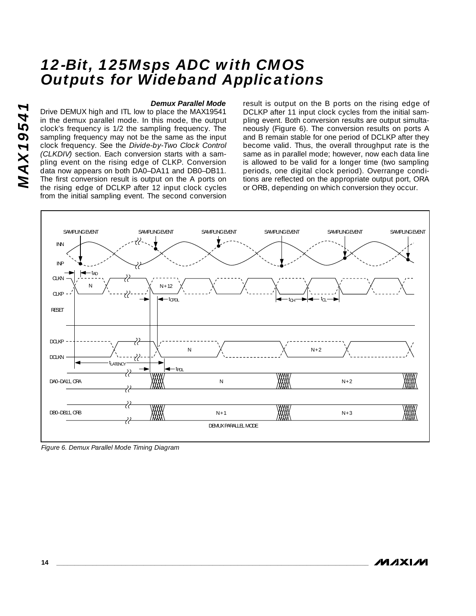#### *Demux Parallel Mode*

Drive DEMUX high and ITL low to place the MAX19541 in the demux parallel mode. In this mode, the output clock's frequency is 1/2 the sampling frequency. The sampling frequency may not be the same as the input clock frequency. See the *Divide-by-Two Clock Control (CLKDIV)* section. Each conversion starts with a sampling event on the rising edge of CLKP. Conversion data now appears on both DA0–DA11 and DB0–DB11. The first conversion result is output on the A ports on the rising edge of DCLKP after 12 input clock cycles from the initial sampling event. The second conversion result is output on the B ports on the rising edge of DCLKP after 11 input clock cycles from the initial sampling event. Both conversion results are output simultaneously (Figure 6). The conversion results on ports A and B remain stable for one period of DCLKP after they become valid. Thus, the overall throughput rate is the same as in parallel mode; however, now each data line is allowed to be valid for a longer time (two sampling periods, one digital clock period). Overrange conditions are reflected on the appropriate output port, ORA or ORB, depending on which conversion they occur.



*Figure 6. Demux Parallel Mode Timing Diagram*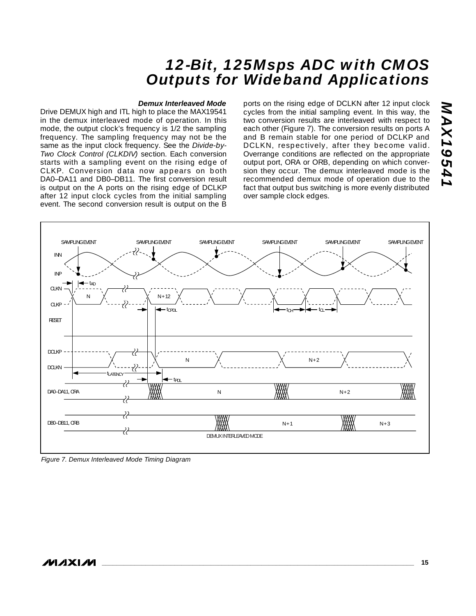#### *Demux Interleaved Mode*

Drive DEMUX high and ITL high to place the MAX19541 in the demux interleaved mode of operation. In this mode, the output clock's frequency is 1/2 the sampling frequency. The sampling frequency may not be the same as the input clock frequency. See the *Divide-by-Two Clock Control (CLKDIV)* section. Each conversion starts with a sampling event on the rising edge of CLKP. Conversion data now appears on both DA0–DA11 and DB0–DB11. The first conversion result is output on the A ports on the rising edge of DCLKP after 12 input clock cycles from the initial sampling event. The second conversion result is output on the B

ports on the rising edge of DCLKN after 12 input clock cycles from the initial sampling event. In this way, the two conversion results are interleaved with respect to each other (Figure 7). The conversion results on ports A and B remain stable for one period of DCLKP and DCLKN, respectively, after they become valid. Overrange conditions are reflected on the appropriate output port, ORA or ORB, depending on which conversion they occur. The demux interleaved mode is the recommended demux mode of operation due to the fact that output bus switching is more evenly distributed over sample clock edges.



*Figure 7. Demux Interleaved Mode Timing Diagram*

*MAX19541*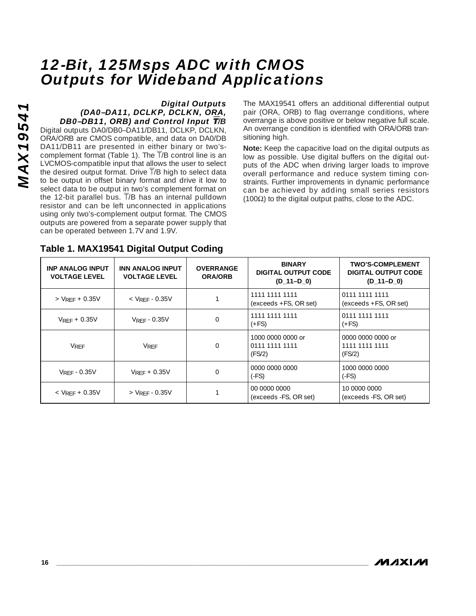#### *Digital Outputs (DA0–DA11, DCLKP, DCLKN, ORA, DB0–DB11, ORB) and Control Input* T*/B*

Digital outputs DA0/DB0–DA11/DB11, DCLKP, DCLKN, ORA/ORB are CMOS compatible, and data on DA0/DB DA11/DB11 are presented in either binary or two'scomplement format (Table 1). The  $\overline{T}/B$  control line is an LVCMOS-compatible input that allows the user to select the desired output format. Drive  $\overline{T}/B$  high to select data to be output in offset binary format and drive it low to select data to be output in two's complement format on the 12-bit parallel bus.  $\overline{T}/B$  has an internal pulldown resistor and can be left unconnected in applications using only two's-complement output format. The CMOS outputs are powered from a separate power supply that can be operated between 1.7V and 1.9V.

The MAX19541 offers an additional differential output pair (ORA, ORB) to flag overrange conditions, where overrange is above positive or below negative full scale. An overrange condition is identified with ORA/ORB transitioning high.

**Note:** Keep the capacitive load on the digital outputs as low as possible. Use digital buffers on the digital outputs of the ADC when driving larger loads to improve overall performance and reduce system timing constraints. Further improvements in dynamic performance can be achieved by adding small series resistors (100Ω) to the digital output paths, close to the ADC.

| <b>INP ANALOG INPUT</b><br><b>VOLTAGE LEVEL</b> | <b>INN ANALOG INPUT</b><br><b>VOLTAGE LEVEL</b> | <b>OVERRANGE</b><br><b>ORA/ORB</b> | <b>BINARY</b><br><b>DIGITAL OUTPUT CODE</b><br>$(D_11-D_0)$ | <b>TWO'S-COMPLEMENT</b><br><b>DIGITAL OUTPUT CODE</b><br>$(D_11-D_0)$ |
|-------------------------------------------------|-------------------------------------------------|------------------------------------|-------------------------------------------------------------|-----------------------------------------------------------------------|
| $>$ VRFF + 0.35V                                | $<$ VRFF - 0.35V                                |                                    | 1111 1111 1111<br>$(exceeds + FS, OR set)$                  | 0111 1111 1111<br>$(exceeds + FS, OR set)$                            |
| $V_{RFF}$ + 0.35V                               | $V$ RFF - $0.35V$                               |                                    | 1111 1111 1111<br>$(+FS)$                                   | 0111 1111 1111<br>$(+FS)$                                             |
| <b>VRFF</b>                                     | <b>VRFF</b>                                     | $\Omega$                           | 1000 0000 0000 or<br>0111 1111 1111<br>(FS/2)               | 0000 0000 0000 or<br>1111 1111 1111<br>(FS/2)                         |
| $V_{RFF} - 0.35V$                               | $V_{RFF}$ + 0.35V                               |                                    | 0000 0000 0000<br>$(-FS)$                                   | 1000 0000 0000<br>$(-FS)$                                             |
| $<$ VRFF + 0.35V                                | $>$ VRFF - 0.35V                                |                                    | 00 0000 0000<br>(exceeds -FS, OR set)                       | 10 0000 0000<br>(exceeds -FS, OR set)                                 |

## **Table 1. MAX19541 Digital Output Coding**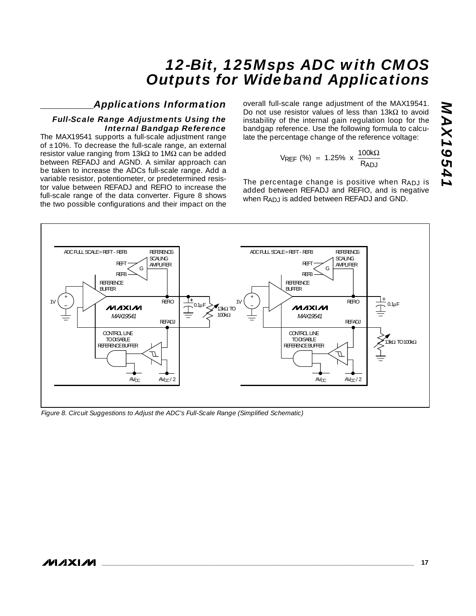## *Applications Information*

#### *Full-Scale Range Adjustments Using the Internal Bandgap Reference*

The MAX19541 supports a full-scale adjustment range of  $\pm$ 10%. To decrease the full-scale range, an external resistor value ranging from 13kΩ to 1MΩ can be added between REFADJ and AGND. A similar approach can be taken to increase the ADCs full-scale range. Add a variable resistor, potentiometer, or predetermined resistor value between REFADJ and REFIO to increase the full-scale range of the data converter. Figure 8 shows the two possible configurations and their impact on the

overall full-scale range adjustment of the MAX19541. Do not use resistor values of less than 13kΩ to avoid instability of the internal gain regulation loop for the bandgap reference. Use the following formula to calculate the percentage change of the reference voltage:

$$
V_{REF} \text{ (%)} = 1.25\% \times \frac{100k\Omega}{R_{ADJ}}
$$

The percentage change is positive when RADJ is added between REFADJ and REFIO, and is negative when RADJ is added between REFADJ and GND.



*Figure 8. Circuit Suggestions to Adjust the ADC's Full-Scale Range (Simplified Schematic)*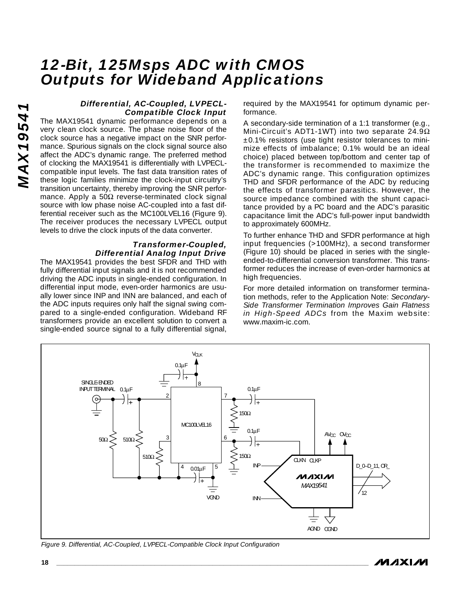#### *Differential, AC-Coupled, LVPECL-Compatible Clock Input*

The MAX19541 dynamic performance depends on a very clean clock source. The phase noise floor of the clock source has a negative impact on the SNR performance. Spurious signals on the clock signal source also affect the ADC's dynamic range. The preferred method of clocking the MAX19541 is differentially with LVPECLcompatible input levels. The fast data transition rates of these logic families minimize the clock-input circuitry's transition uncertainty, thereby improving the SNR performance. Apply a  $50\Omega$  reverse-terminated clock signal source with low phase noise AC-coupled into a fast differential receiver such as the MC100LVEL16 (Figure 9). The receiver produces the necessary LVPECL output levels to drive the clock inputs of the data converter.

#### *Transformer-Coupled, Differential Analog Input Drive*

The MAX19541 provides the best SFDR and THD with fully differential input signals and it is not recommended driving the ADC inputs in single-ended configuration. In differential input mode, even-order harmonics are usually lower since INP and INN are balanced, and each of the ADC inputs requires only half the signal swing compared to a single-ended configuration. Wideband RF transformers provide an excellent solution to convert a single-ended source signal to a fully differential signal, required by the MAX19541 for optimum dynamic performance.

A secondary-side termination of a 1:1 transformer (e.g., Mini-Circuit's ADT1-1WT) into two separate 24.9Ω ±0.1% resistors (use tight resistor tolerances to minimize effects of imbalance; 0.1% would be an ideal choice) placed between top/bottom and center tap of the transformer is recommended to maximize the ADC's dynamic range. This configuration optimizes THD and SFDR performance of the ADC by reducing the effects of transformer parasitics. However, the source impedance combined with the shunt capacitance provided by a PC board and the ADC's parasitic capacitance limit the ADC's full-power input bandwidth to approximately 600MHz.

To further enhance THD and SFDR performance at high input frequencies (>100MHz), a second transformer (Figure 10) should be placed in series with the singleended-to-differential conversion transformer. This transformer reduces the increase of even-order harmonics at high frequencies.

For more detailed information on transformer termination methods, refer to the Application Note: *Secondary-Side Transformer Termination Improves Gain Flatness in High-Speed ADCs* from the Maxim website: www.maxim-ic.com.



*Figure 9. Differential, AC-Coupled, LVPECL-Compatible Clock Input Configuration*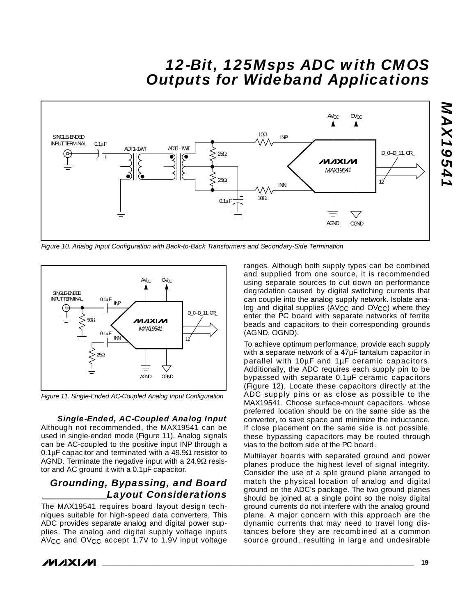

*Figure 10. Analog Input Configuration with Back-to-Back Transformers and Secondary-Side Termination*



*Figure 11. Single-Ended AC-Coupled Analog Input Configuration*

*Single-Ended, AC-Coupled Analog Input* Although not recommended, the MAX19541 can be used in single-ended mode (Figure 11). Analog signals can be AC-coupled to the positive input INP through a 0.1μF capacitor and terminated with a 49.9 $\Omega$  resistor to AGND. Terminate the negative input with a 24.9 $\Omega$  resistor and AC ground it with a 0.1µF capacitor.

## *Grounding, Bypassing, and Board Layout Considerations*

The MAX19541 requires board layout design techniques suitable for high-speed data converters. This ADC provides separate analog and digital power supplies. The analog and digital supply voltage inputs AVCC and OVCC accept 1.7V to 1.9V input voltage

ranges. Although both supply types can be combined and supplied from one source, it is recommended using separate sources to cut down on performance degradation caused by digital switching currents that can couple into the analog supply network. Isolate analog and digital supplies  $(AV_{CC}$  and  $OV_{CC})$  where they enter the PC board with separate networks of ferrite beads and capacitors to their corresponding grounds (AGND, OGND).

To achieve optimum performance, provide each supply with a separate network of a 47µF tantalum capacitor in parallel with 10µF and 1µF ceramic capacitors. Additionally, the ADC requires each supply pin to be bypassed with separate 0.1µF ceramic capacitors (Figure 12). Locate these capacitors directly at the ADC supply pins or as close as possible to the MAX19541. Choose surface-mount capacitors, whose preferred location should be on the same side as the converter, to save space and minimize the inductance. If close placement on the same side is not possible, these bypassing capacitors may be routed through vias to the bottom side of the PC board.

Multilayer boards with separated ground and power planes produce the highest level of signal integrity. Consider the use of a split ground plane arranged to match the physical location of analog and digital ground on the ADC's package. The two ground planes should be joined at a single point so the noisy digital ground currents do not interfere with the analog ground plane. A major concern with this approach are the dynamic currents that may need to travel long distances before they are recombined at a common source ground, resulting in large and undesirable

*MAXM*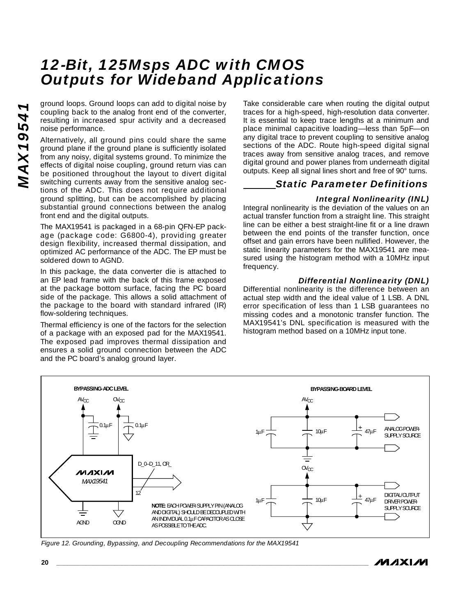ground loops. Ground loops can add to digital noise by coupling back to the analog front end of the converter, resulting in increased spur activity and a decreased noise performance.

Alternatively, all ground pins could share the same ground plane if the ground plane is sufficiently isolated from any noisy, digital systems ground. To minimize the effects of digital noise coupling, ground return vias can be positioned throughout the layout to divert digital switching currents away from the sensitive analog sections of the ADC. This does not require additional ground splitting, but can be accomplished by placing substantial ground connections between the analog front end and the digital outputs.

The MAX19541 is packaged in a 68-pin QFN-EP package (package code: G6800-4), providing greater design flexibility, increased thermal dissipation, and optimized AC performance of the ADC. The EP must be soldered down to AGND.

In this package, the data converter die is attached to an EP lead frame with the back of this frame exposed at the package bottom surface, facing the PC board side of the package. This allows a solid attachment of the package to the board with standard infrared (IR) flow-soldering techniques.

Thermal efficiency is one of the factors for the selection of a package with an exposed pad for the MAX19541. The exposed pad improves thermal dissipation and ensures a solid ground connection between the ADC and the PC board's analog ground layer.

Take considerable care when routing the digital output traces for a high-speed, high-resolution data converter. It is essential to keep trace lengths at a minimum and place minimal capacitive loading—less than 5pF—on any digital trace to prevent coupling to sensitive analog sections of the ADC. Route high-speed digital signal traces away from sensitive analog traces, and remove digital ground and power planes from underneath digital outputs. Keep all signal lines short and free of 90° turns.

## *Static Parameter Definitions*

#### *Integral Nonlinearity (INL)*

Integral nonlinearity is the deviation of the values on an actual transfer function from a straight line. This straight line can be either a best straight-line fit or a line drawn between the end points of the transfer function, once offset and gain errors have been nullified. However, the static linearity parameters for the MAX19541 are measured using the histogram method with a 10MHz input frequency.

#### *Differential Nonlinearity (DNL)*

Differential nonlinearity is the difference between an actual step width and the ideal value of 1 LSB. A DNL error specification of less than 1 LSB guarantees no missing codes and a monotonic transfer function. The MAX19541's DNL specification is measured with the histogram method based on a 10MHz input tone.



*Figure 12. Grounding, Bypassing, and Decoupling Recommendations for the MAX19541*

/VI /I X I /VI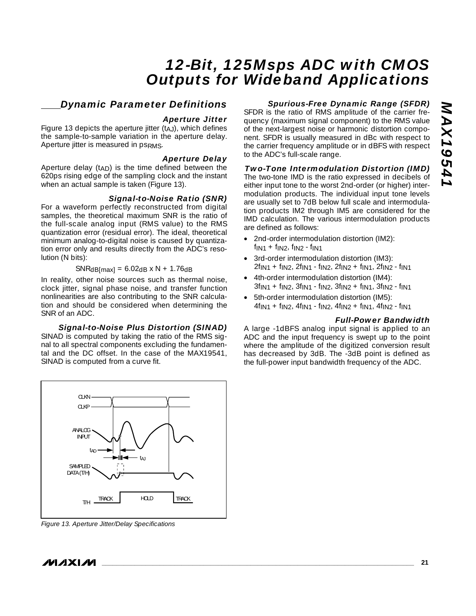## *Dynamic Parameter Definitions*

#### *Aperture Jitter*

Figure 13 depicts the aperture jitter  $(t_A)$ , which defines the sample-to-sample variation in the aperture delay. Aperture jitter is measured in psRMS.

#### *Aperture Delay*

Aperture delay  $(t_{AD})$  is the time defined between the 620ps rising edge of the sampling clock and the instant when an actual sample is taken (Figure 13).

#### *Signal-to-Noise Ratio (SNR)*

For a waveform perfectly reconstructed from digital samples, the theoretical maximum SNR is the ratio of the full-scale analog input (RMS value) to the RMS quantization error (residual error). The ideal, theoretical minimum analog-to-digital noise is caused by quantization error only and results directly from the ADC's resolution (N bits):

#### $SNRdB(max] = 6.02dB \times N + 1.76dB$

In reality, other noise sources such as thermal noise, clock jitter, signal phase noise, and transfer function nonlinearities are also contributing to the SNR calculation and should be considered when determining the SNR of an ADC.

#### *Signal-to-Noise Plus Distortion (SINAD)*

SINAD is computed by taking the ratio of the RMS signal to all spectral components excluding the fundamental and the DC offset. In the case of the MAX19541, SINAD is computed from a curve fit.



*Figure 13. Aperture Jitter/Delay Specifications*

#### *Spurious-Free Dynamic Range (SFDR)*

SFDR is the ratio of RMS amplitude of the carrier frequency (maximum signal component) to the RMS value of the next-largest noise or harmonic distortion component. SFDR is usually measured in dBc with respect to the carrier frequency amplitude or in dBFS with respect to the ADC's full-scale range.

#### *Two-Tone Intermodulation Distortion (IMD)*

The two-tone IMD is the ratio expressed in decibels of either input tone to the worst 2nd-order (or higher) intermodulation products. The individual input tone levels are usually set to 7dB below full scale and intermodulation products IM2 through IM5 are considered for the IMD calculation. The various intermodulation products are defined as follows:

- 2nd-order intermodulation distortion (IM2):  $f_{IN1} + f_{IN2}$ ,  $f_{IN2} - f_{IN1}$
- 3rd-order intermodulation distortion (IM3): 2fIN1 + fIN2, 2fIN1 - fIN2, 2fIN2 + fIN1, 2fIN2 - fIN1
- 4th-order intermodulation distortion (IM4):  $3f_{1N1} + f_{1N2}$ ,  $3f_{1N1} - f_{1N2}$ ,  $3f_{1N2} + f_{1N1}$ ,  $3f_{1N2} - f_{1N1}$
- 5th-order intermodulation distortion (IM5):  $4f_{\text{IN1}} + f_{\text{IN2}}$ ,  $4f_{\text{IN1}} - f_{\text{IN2}}$ ,  $4f_{\text{IN2}} + f_{\text{IN1}}$ ,  $4f_{\text{IN2}} - f_{\text{IN1}}$

#### *Full-Power Bandwidth*

A large -1dBFS analog input signal is applied to an ADC and the input frequency is swept up to the point where the amplitude of the digitized conversion result has decreased by 3dB. The -3dB point is defined as the full-power input bandwidth frequency of the ADC.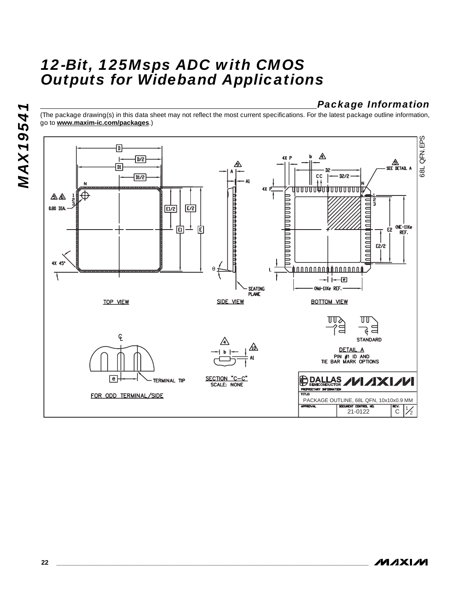## *Package Information*

(The package drawing(s) in this data sheet may not reflect the most current specifications. For the latest package outline information, go to **www.maxim-ic.com/packages**.)



**MAXM**